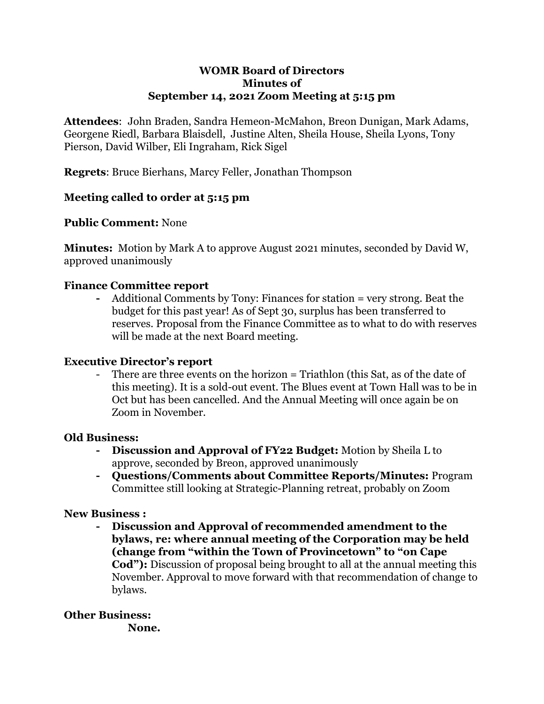### **WOMR Board of Directors Minutes of September 14, 2021 Zoom Meeting at 5:15 pm**

**Attendees**: John Braden, Sandra Hemeon-McMahon, Breon Dunigan, Mark Adams, Georgene Riedl, Barbara Blaisdell, Justine Alten, Sheila House, Sheila Lyons, Tony Pierson, David Wilber, Eli Ingraham, Rick Sigel

**Regrets**: Bruce Bierhans, Marcy Feller, Jonathan Thompson

## **Meeting called to order at 5:15 pm**

## **Public Comment:** None

**Minutes:** Motion by Mark A to approve August 2021 minutes, seconded by David W, approved unanimously

## **Finance Committee report**

**-** Additional Comments by Tony: Finances for station = very strong. Beat the budget for this past year! As of Sept 30, surplus has been transferred to reserves. Proposal from the Finance Committee as to what to do with reserves will be made at the next Board meeting.

## **Executive Director's report**

There are three events on the horizon = Triathlon (this Sat, as of the date of this meeting). It is a sold-out event. The Blues event at Town Hall was to be in Oct but has been cancelled. And the Annual Meeting will once again be on Zoom in November.

## **Old Business:**

- **- Discussion and Approval of FY22 Budget:** Motion by Sheila L to approve, seconded by Breon, approved unanimously
- **- Questions/Comments about Committee Reports/Minutes:** Program Committee still looking at Strategic-Planning retreat, probably on Zoom

## **New Business :**

**- Discussion and Approval of recommended amendment to the bylaws, re: where annual meeting of the Corporation may be held (change from "within the Town of Provincetown" to "on Cape Cod"):** Discussion of proposal being brought to all at the annual meeting this November. Approval to move forward with that recommendation of change to bylaws.

## **Other Business:**

**None.**